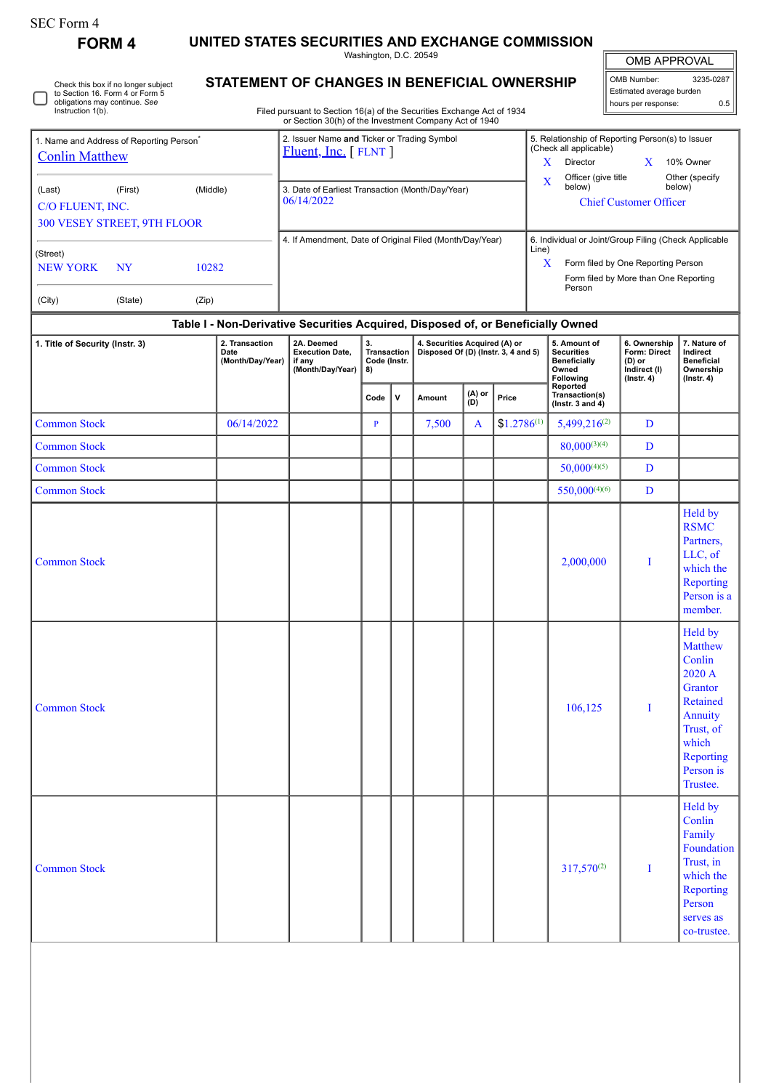| SEC Form 4 |
|------------|
|------------|

**FORM 4 UNITED STATES SECURITIES AND EXCHANGE COMMISSION**

Washington, D.C. 20549

# **STATEMENT OF CHANGES IN BENEFICIAL OWNERSHIP**

Filed pursuant to Section 16(a) of the Securities Exchange Act of 1934 or Section 30(h) of the Investment Company Act of 1940

| <b>OMB APPROVAL</b>      |           |  |  |  |  |  |  |  |  |
|--------------------------|-----------|--|--|--|--|--|--|--|--|
| OMB Number:              | 3235-0287 |  |  |  |  |  |  |  |  |
| Fetimated average hurden |           |  |  |  |  |  |  |  |  |

Estimated average burden hours per response: 0.5

| Name and Address of Reporting Person <sup>®</sup><br><b>Conlin Matthew</b> |                      |                | 2. Issuer Name and Ticker or Trading Symbol<br>$Fluent, Inc.$ [ FLNT ] | X          | 5. Relationship of Reporting Person(s) to Issuer<br>(Check all applicable)<br>10% Owner<br>Director |  |                                                                                                |  |  |  |
|----------------------------------------------------------------------------|----------------------|----------------|------------------------------------------------------------------------|------------|-----------------------------------------------------------------------------------------------------|--|------------------------------------------------------------------------------------------------|--|--|--|
| (Last)<br>C/O FLUENT, INC.<br>300 VESEY STREET, 9TH FLOOR                  | (First)              | (Middle)       | 3. Date of Earliest Transaction (Month/Day/Year)<br>06/14/2022         | X          | Officer (give title)<br>below)<br><b>Chief Customer Officer</b>                                     |  | Other (specify)<br>below)                                                                      |  |  |  |
| (Street)<br><b>NEW YORK</b><br>(City)                                      | <b>NY</b><br>(State) | 10282<br>(Zip) | 4. If Amendment, Date of Original Filed (Month/Day/Year)               | Line)<br>X | Form filed by One Reporting Person<br>Person                                                        |  | 6. Individual or Joint/Group Filing (Check Applicable<br>Form filed by More than One Reporting |  |  |  |

### **Table I - Non-Derivative Securities Acquired, Disposed of, or Beneficially Owned**

| 1. Title of Security (Instr. 3) | 2. Transaction<br>Date<br>(Month/Day/Year) | 2A. Deemed<br><b>Execution Date,</b><br>if any<br>(Month/Day/Year) | 3.<br>Transaction<br>Code (Instr.<br>8) |              |        |               | 4. Securities Acquired (A) or<br>Disposed Of (D) (Instr. 3, 4 and 5) | 5. Amount of<br><b>Securities</b><br><b>Beneficially</b><br>Owned<br>Following | 6. Ownership<br>Form: Direct<br>$(D)$ or<br>Indirect (I)<br>$($ lnstr. 4 $)$ | 7. Nature of<br>Indirect<br><b>Beneficial</b><br>Ownership<br>$($ Instr. 4 $)$                                                              |
|---------------------------------|--------------------------------------------|--------------------------------------------------------------------|-----------------------------------------|--------------|--------|---------------|----------------------------------------------------------------------|--------------------------------------------------------------------------------|------------------------------------------------------------------------------|---------------------------------------------------------------------------------------------------------------------------------------------|
|                                 |                                            |                                                                    | Code                                    | $\mathsf{v}$ | Amount | (A) or<br>(D) | Price                                                                | Reported<br>Transaction(s)<br>(lnstr. 3 and 4)                                 |                                                                              |                                                                                                                                             |
| <b>Common Stock</b>             | 06/14/2022                                 |                                                                    | $\mathbf{P}$                            |              | 7,500  | $\mathbf{A}$  | $$1.2786^{(1)}$                                                      | $5,499,216^{(2)}$                                                              | $\mathbf D$                                                                  |                                                                                                                                             |
| <b>Common Stock</b>             |                                            |                                                                    |                                         |              |        |               |                                                                      | $80,000^{(3)(4)}$                                                              | $\mathbf D$                                                                  |                                                                                                                                             |
| <b>Common Stock</b>             |                                            |                                                                    |                                         |              |        |               |                                                                      | $50,000^{(4)(5)}$                                                              | D                                                                            |                                                                                                                                             |
| <b>Common Stock</b>             |                                            |                                                                    |                                         |              |        |               |                                                                      | $550,000^{(4)(6)}$                                                             | $\mathbf D$                                                                  |                                                                                                                                             |
| <b>Common Stock</b>             |                                            |                                                                    |                                         |              |        |               |                                                                      | 2,000,000                                                                      | I                                                                            | Held by<br><b>RSMC</b><br>Partners,<br>LLC, of<br>which the<br>Reporting<br>Person is a<br>member.                                          |
| <b>Common Stock</b>             |                                            |                                                                    |                                         |              |        |               |                                                                      | 106,125                                                                        | I                                                                            | Held by<br><b>Matthew</b><br>Conlin<br>2020 A<br>Grantor<br>Retained<br>Annuity<br>Trust, of<br>which<br>Reporting<br>Person is<br>Trustee. |
| <b>Common Stock</b>             |                                            |                                                                    |                                         |              |        |               |                                                                      | $317,570^{(2)}$                                                                | $\bf{I}$                                                                     | Held by<br>Conlin<br>Family<br>Foundation<br>Trust, in<br>which the<br>Reporting<br>Person<br>serves as<br>co-trustee.                      |